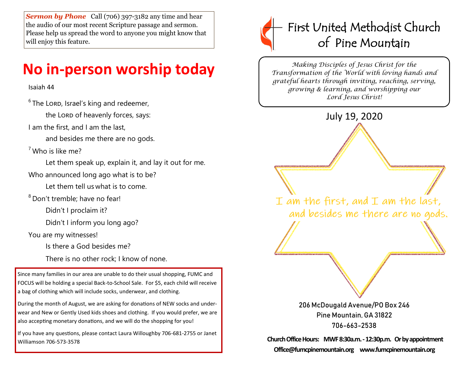**Sermon by Phone** Call (706) 397-3182 any time and hear the audio of our most recent Scripture passage and sermon. Please help us spread the word to anyone you might know that will enjoy this feature.

# **No in-person worship today**

## Isaiah 44

 $6$  The Lord, Israel's king and redeemer,

the Lord of heavenly forces, says:

I am the first, and I am the last,

and besides me there are no gods.

 $<sup>7</sup>$  Who is like me?</sup>

Let them speak up, explain it, and lay it out for me.

Who announced long ago what is to be?

Let them tell us what is to come.

<sup>8</sup> Don't tremble; have no fear!

Didn't I proclaim it?

Didn't I inform you long ago?

You are my witnesses!

Is there a God besides me?

There is no other rock; I know of none.

Since many families in our area are unable to do their usual shopping, FUMC and FOCUS will be holding a special Back-to-School Sale. For \$5, each child will receive a bag of clothing which will include socks, underwear, and clothing.

During the month of August, we are asking for donations of NEW socks and underwear and New or Gently Used kids shoes and clothing. If you would prefer, we are also accepting monetary donations, and we will do the shopping for you!

If you have any questions, please contact Laura Willoughby 706-681-2755 or Janet Williamson 706-573-3578



*Making Disciples of Jesus Christ for the Transformation of the World with loving hands and grateful hearts through inviting, reaching, serving, growing & learning, and worshipping our Lord Jesus Christ!* 



**Church Office Hours: MWF 8:30a.m. -12:30p.m. Or by appointment Office@fumcpinemountain.org www.fumcpinemountain.org**